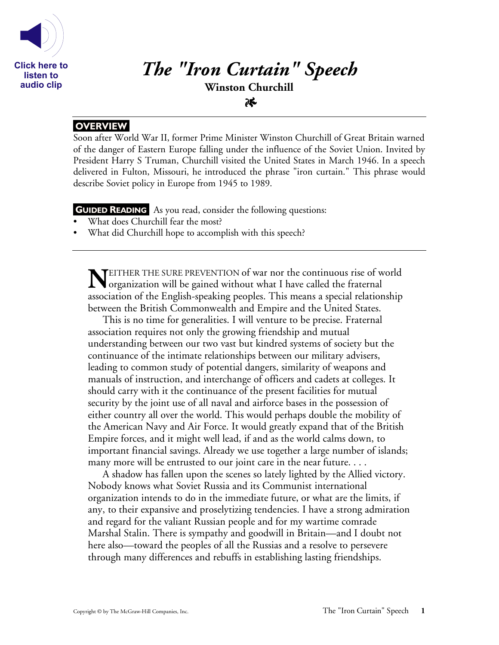

*The "Iron Curtain" Speech*

**Winston Churchill** 26

## **OVERVIEW**

Soon after World War II, former Prime Minister Winston Churchill of Great Britain warned of the danger of Eastern Europe falling under the influence of the Soviet Union. Invited by President Harry S Truman, Churchill visited the United States in March 1946. In a speech delivered in Fulton, Missouri, he introduced the phrase "iron curtain." This phrase would describe Soviet policy in Europe from 1945 to 1989.

**GUIDED READING** As you read, consider the following questions:

- What does Churchill fear the most?
- What did Churchill hope to accomplish with this speech?

**TEITHER THE SURE PREVENTION of war nor the continuous rise of world NEITHER THE SURE PREVENTION of war nor the continuous rise of v<br>
organization will be gained without what I have called the fraternal<br>
internal and the function of the Fig. 1.1 and the set of the set of the set of the set** association of the English-speaking peoples. This means a special relationship between the British Commonwealth and Empire and the United States.

This is no time for generalities. I will venture to be precise. Fraternal association requires not only the growing friendship and mutual understanding between our two vast but kindred systems of society but the continuance of the intimate relationships between our military advisers, leading to common study of potential dangers, similarity of weapons and manuals of instruction, and interchange of officers and cadets at colleges. It should carry with it the continuance of the present facilities for mutual security by the joint use of all naval and airforce bases in the possession of either country all over the world. This would perhaps double the mobility of the American Navy and Air Force. It would greatly expand that of the British Empire forces, and it might well lead, if and as the world calms down, to important financial savings. Already we use together a large number of islands; many more will be entrusted to our joint care in the near future. . . .

A shadow has fallen upon the scenes so lately lighted by the Allied victory. Nobody knows what Soviet Russia and its Communist international organization intends to do in the immediate future, or what are the limits, if any, to their expansive and proselytizing tendencies. I have a strong admiration and regard for the valiant Russian people and for my wartime comrade Marshal Stalin. There is sympathy and goodwill in Britain—and I doubt not here also—toward the peoples of all the Russias and a resolve to persevere through many differences and rebuffs in establishing lasting friendships.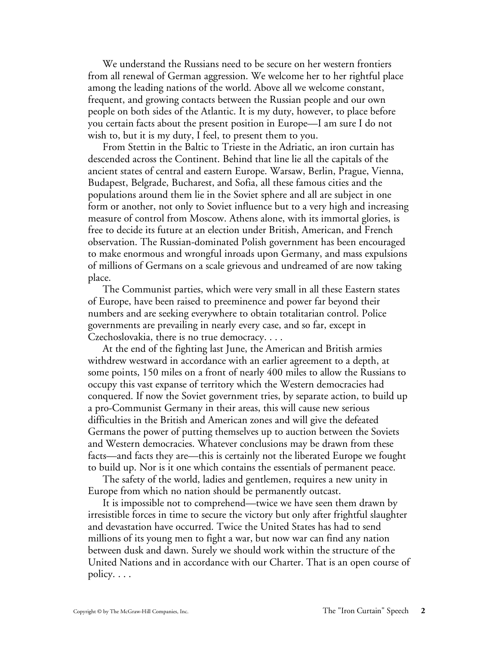We understand the Russians need to be secure on her western frontiers from all renewal of German aggression. We welcome her to her rightful place among the leading nations of the world. Above all we welcome constant, frequent, and growing contacts between the Russian people and our own people on both sides of the Atlantic. It is my duty, however, to place before you certain facts about the present position in Europe—I am sure I do not wish to, but it is my duty, I feel, to present them to you.

From Stettin in the Baltic to Trieste in the Adriatic, an iron curtain has descended across the Continent. Behind that line lie all the capitals of the ancient states of central and eastern Europe. Warsaw, Berlin, Prague, Vienna, Budapest, Belgrade, Bucharest, and Sofia, all these famous cities and the populations around them lie in the Soviet sphere and all are subject in one form or another, not only to Soviet influence but to a very high and increasing measure of control from Moscow. Athens alone, with its immortal glories, is free to decide its future at an election under British, American, and French observation. The Russian-dominated Polish government has been encouraged to make enormous and wrongful inroads upon Germany, and mass expulsions of millions of Germans on a scale grievous and undreamed of are now taking place.

The Communist parties, which were very small in all these Eastern states of Europe, have been raised to preeminence and power far beyond their numbers and are seeking everywhere to obtain totalitarian control. Police governments are prevailing in nearly every case, and so far, except in Czechoslovakia, there is no true democracy. . . .

At the end of the fighting last June, the American and British armies withdrew westward in accordance with an earlier agreement to a depth, at some points, 150 miles on a front of nearly 400 miles to allow the Russians to occupy this vast expanse of territory which the Western democracies had conquered. If now the Soviet government tries, by separate action, to build up a pro-Communist Germany in their areas, this will cause new serious difficulties in the British and American zones and will give the defeated Germans the power of putting themselves up to auction between the Soviets and Western democracies. Whatever conclusions may be drawn from these facts—and facts they are—this is certainly not the liberated Europe we fought to build up. Nor is it one which contains the essentials of permanent peace.

The safety of the world, ladies and gentlemen, requires a new unity in Europe from which no nation should be permanently outcast.

It is impossible not to comprehend—twice we have seen them drawn by irresistible forces in time to secure the victory but only after frightful slaughter and devastation have occurred. Twice the United States has had to send millions of its young men to fight a war, but now war can find any nation between dusk and dawn. Surely we should work within the structure of the United Nations and in accordance with our Charter. That is an open course of policy. . . .